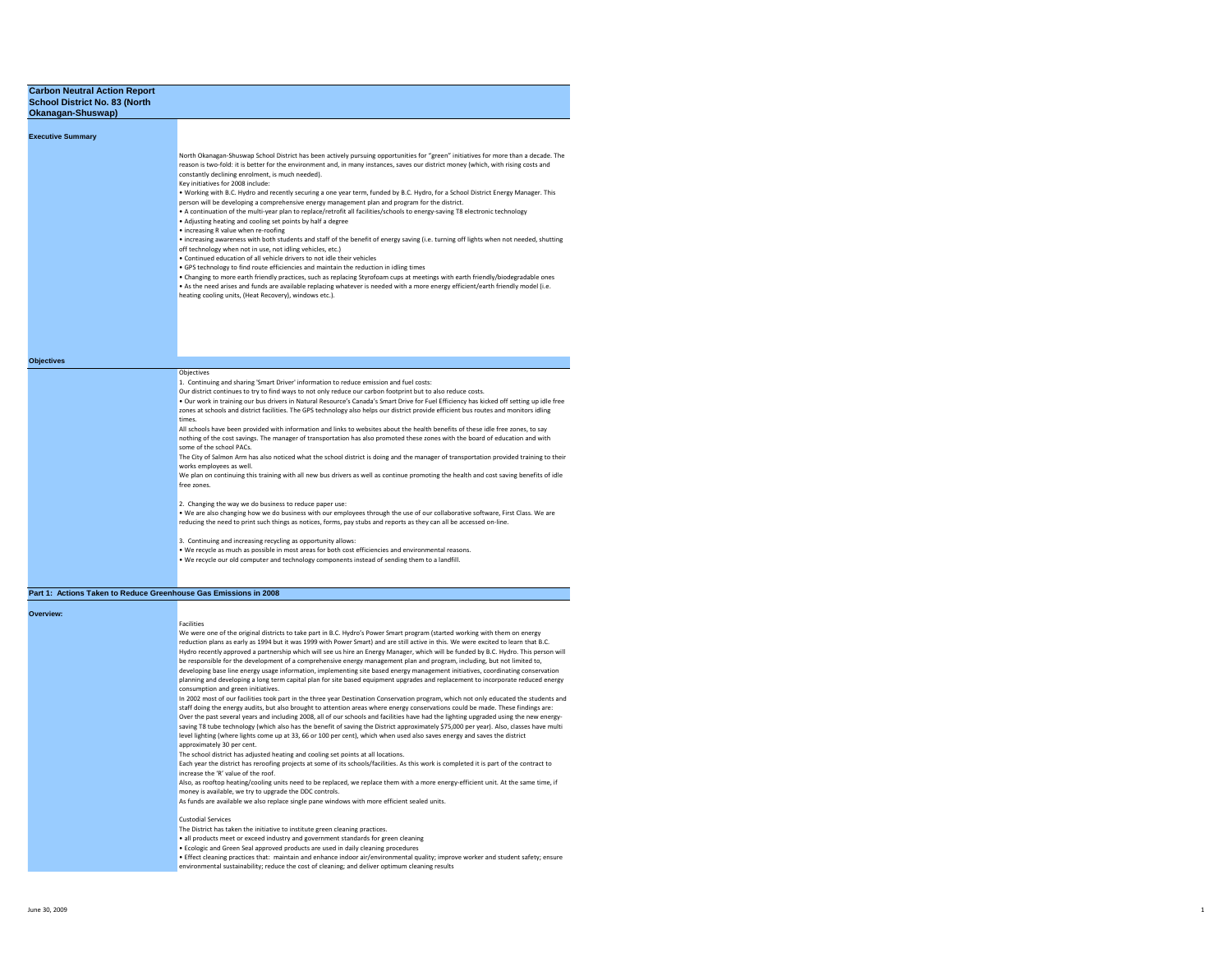| Okanagan-Shuswap)        |                                                                                                                                                                                                                                                                                                                                                                                                                                                                                                                                                                                                                                                                                                                                                                                                                                                                                                                                                                                                                                                                                                                                                                                                                                                                                                                                                                    |
|--------------------------|--------------------------------------------------------------------------------------------------------------------------------------------------------------------------------------------------------------------------------------------------------------------------------------------------------------------------------------------------------------------------------------------------------------------------------------------------------------------------------------------------------------------------------------------------------------------------------------------------------------------------------------------------------------------------------------------------------------------------------------------------------------------------------------------------------------------------------------------------------------------------------------------------------------------------------------------------------------------------------------------------------------------------------------------------------------------------------------------------------------------------------------------------------------------------------------------------------------------------------------------------------------------------------------------------------------------------------------------------------------------|
|                          |                                                                                                                                                                                                                                                                                                                                                                                                                                                                                                                                                                                                                                                                                                                                                                                                                                                                                                                                                                                                                                                                                                                                                                                                                                                                                                                                                                    |
| <b>Executive Summary</b> |                                                                                                                                                                                                                                                                                                                                                                                                                                                                                                                                                                                                                                                                                                                                                                                                                                                                                                                                                                                                                                                                                                                                                                                                                                                                                                                                                                    |
|                          | North Okanagan-Shuswap School District has been actively pursuing opportunities for "green" initiatives for more than a decade. The<br>reason is two-fold: it is better for the environment and, in many instances, saves our district money (which, with rising costs and<br>constantly declining enrolment, is much needed).<br>Key initiatives for 2008 include:<br>. Working with B.C. Hydro and recently securing a one year term, funded by B.C. Hydro, for a School District Energy Manager. This<br>person will be developing a comprehensive energy management plan and program for the district.<br>. A continuation of the multi-year plan to replace/retrofit all facilities/schools to energy-saving T8 electronic technology<br>. Adjusting heating and cooling set points by half a degree<br>• increasing R value when re-roofing<br>• increasing awareness with both students and staff of the benefit of energy saving (i.e. turning off lights when not needed, shutting<br>off technology when not in use, not idling vehicles, etc.)<br>. Continued education of all vehicle drivers to not idle their vehicles<br>. GPS technology to find route efficiencies and maintain the reduction in idling times<br>. Changing to more earth friendly practices, such as replacing Styrofoam cups at meetings with earth friendly/biodegradable ones |
|                          | . As the need arises and funds are available replacing whatever is needed with a more energy efficient/earth friendly model (i.e.<br>heating cooling units, (Heat Recovery), windows etc.).                                                                                                                                                                                                                                                                                                                                                                                                                                                                                                                                                                                                                                                                                                                                                                                                                                                                                                                                                                                                                                                                                                                                                                        |
| <b>Objectives</b>        |                                                                                                                                                                                                                                                                                                                                                                                                                                                                                                                                                                                                                                                                                                                                                                                                                                                                                                                                                                                                                                                                                                                                                                                                                                                                                                                                                                    |
|                          | <b>Objectives</b>                                                                                                                                                                                                                                                                                                                                                                                                                                                                                                                                                                                                                                                                                                                                                                                                                                                                                                                                                                                                                                                                                                                                                                                                                                                                                                                                                  |
|                          | 1. Continuing and sharing 'Smart Driver' information to reduce emission and fuel costs:                                                                                                                                                                                                                                                                                                                                                                                                                                                                                                                                                                                                                                                                                                                                                                                                                                                                                                                                                                                                                                                                                                                                                                                                                                                                            |
|                          | Our district continues to try to find ways to not only reduce our carbon footprint but to also reduce costs.<br>. Our work in training our bus drivers in Natural Resource's Canada's Smart Drive for Fuel Efficiency has kicked off setting up idle free<br>zones at schools and district facilities. The GPS technology also helps our district provide efficient bus routes and monitors idling<br>times.                                                                                                                                                                                                                                                                                                                                                                                                                                                                                                                                                                                                                                                                                                                                                                                                                                                                                                                                                       |
|                          | All schools have been provided with information and links to websites about the health benefits of these idle free zones, to say<br>nothing of the cost savings. The manager of transportation has also promoted these zones with the board of education and with<br>some of the school PACs.                                                                                                                                                                                                                                                                                                                                                                                                                                                                                                                                                                                                                                                                                                                                                                                                                                                                                                                                                                                                                                                                      |
|                          | The City of Salmon Arm has also noticed what the school district is doing and the manager of transportation provided training to their<br>works employees as well.<br>We plan on continuing this training with all new bus drivers as well as continue promoting the health and cost saving benefits of idle                                                                                                                                                                                                                                                                                                                                                                                                                                                                                                                                                                                                                                                                                                                                                                                                                                                                                                                                                                                                                                                       |
|                          | free zones.                                                                                                                                                                                                                                                                                                                                                                                                                                                                                                                                                                                                                                                                                                                                                                                                                                                                                                                                                                                                                                                                                                                                                                                                                                                                                                                                                        |
|                          | 2. Changing the way we do business to reduce paper use:<br>. We are also changing how we do business with our employees through the use of our collaborative software, First Class. We are<br>reducing the need to print such things as notices, forms, pay stubs and reports as they can all be accessed on-line.                                                                                                                                                                                                                                                                                                                                                                                                                                                                                                                                                                                                                                                                                                                                                                                                                                                                                                                                                                                                                                                 |
|                          | 3. Continuing and increasing recycling as opportunity allows:<br>. We recycle as much as possible in most areas for both cost efficiencies and environmental reasons.                                                                                                                                                                                                                                                                                                                                                                                                                                                                                                                                                                                                                                                                                                                                                                                                                                                                                                                                                                                                                                                                                                                                                                                              |
|                          | . We recycle our old computer and technology components instead of sending them to a landfill.                                                                                                                                                                                                                                                                                                                                                                                                                                                                                                                                                                                                                                                                                                                                                                                                                                                                                                                                                                                                                                                                                                                                                                                                                                                                     |
|                          | Part 1: Actions Taken to Reduce Greenhouse Gas Emissions in 2008                                                                                                                                                                                                                                                                                                                                                                                                                                                                                                                                                                                                                                                                                                                                                                                                                                                                                                                                                                                                                                                                                                                                                                                                                                                                                                   |
| Overview:                |                                                                                                                                                                                                                                                                                                                                                                                                                                                                                                                                                                                                                                                                                                                                                                                                                                                                                                                                                                                                                                                                                                                                                                                                                                                                                                                                                                    |
|                          | <b>Facilities</b>                                                                                                                                                                                                                                                                                                                                                                                                                                                                                                                                                                                                                                                                                                                                                                                                                                                                                                                                                                                                                                                                                                                                                                                                                                                                                                                                                  |
|                          | We were one of the original districts to take part in B.C. Hydro's Power Smart program (started working with them on energy                                                                                                                                                                                                                                                                                                                                                                                                                                                                                                                                                                                                                                                                                                                                                                                                                                                                                                                                                                                                                                                                                                                                                                                                                                        |
|                          | reduction plans as early as 1994 but it was 1999 with Power Smart) and are still active in this. We were excited to learn that B.C.                                                                                                                                                                                                                                                                                                                                                                                                                                                                                                                                                                                                                                                                                                                                                                                                                                                                                                                                                                                                                                                                                                                                                                                                                                |
|                          | Hydro recently approved a partnership which will see us hire an Energy Manager, which will be funded by B.C. Hydro. This person will                                                                                                                                                                                                                                                                                                                                                                                                                                                                                                                                                                                                                                                                                                                                                                                                                                                                                                                                                                                                                                                                                                                                                                                                                               |
|                          | be responsible for the development of a comprehensive energy management plan and program, including, but not limited to,                                                                                                                                                                                                                                                                                                                                                                                                                                                                                                                                                                                                                                                                                                                                                                                                                                                                                                                                                                                                                                                                                                                                                                                                                                           |

be responsible for the development of a comprehensive energy management plan and program, including, but not limited to,<br>developing base line energy usage information, implementing site based energy management initiatives, planning and developing a long term capital plan for site based equipment upgrades and replacement to incorporate reduced energy consumption and green initiatives. In 2002 most of our facilities took part in the three year Destination Conservation program, which not only educated the students and

staff doing the energy audits, but also brought to attention areas where energy conservations could be made. These findings are: Over the past several years and including 2008, all of our schools and facilities have had the lighting upgraded using the new energysaving T8 tube technology (which also has the benefit of saving the District approximately \$75,000 per year). Also, classes have multi level lighting (where lights come up at 33, 66 or 100 per cent), which when used also saves energy and saves the district approximately 30 per cent.

The school district has adjusted heating and cooling set points at all locations.

Each year the district has reroofing projects at some of its schools/facilities. As this work is completed it is part of the contract to increase the 'R' value of the roof.

Also, as rooftop heating/cooling units need to be replaced, we replace them with a more energy-efficient unit. At the same time, if money is available, we try to upgrade the DDC controls.

As funds are available we also replace single pane windows with more efficient sealed units.

### Custodial Services

The District has taken the initiative to institute green cleaning practices.

• all products meet or exceed industry and government standards for green cleaning

• Ecologic and Green Seal approved products are used in daily cleaning procedures

• Effect cleaning practices that: maintain and enhance indoor air/environmental quality; improve worker and student safety; ensure

environmental sustainability; reduce the cost of cleaning; and deliver optimum cleaning results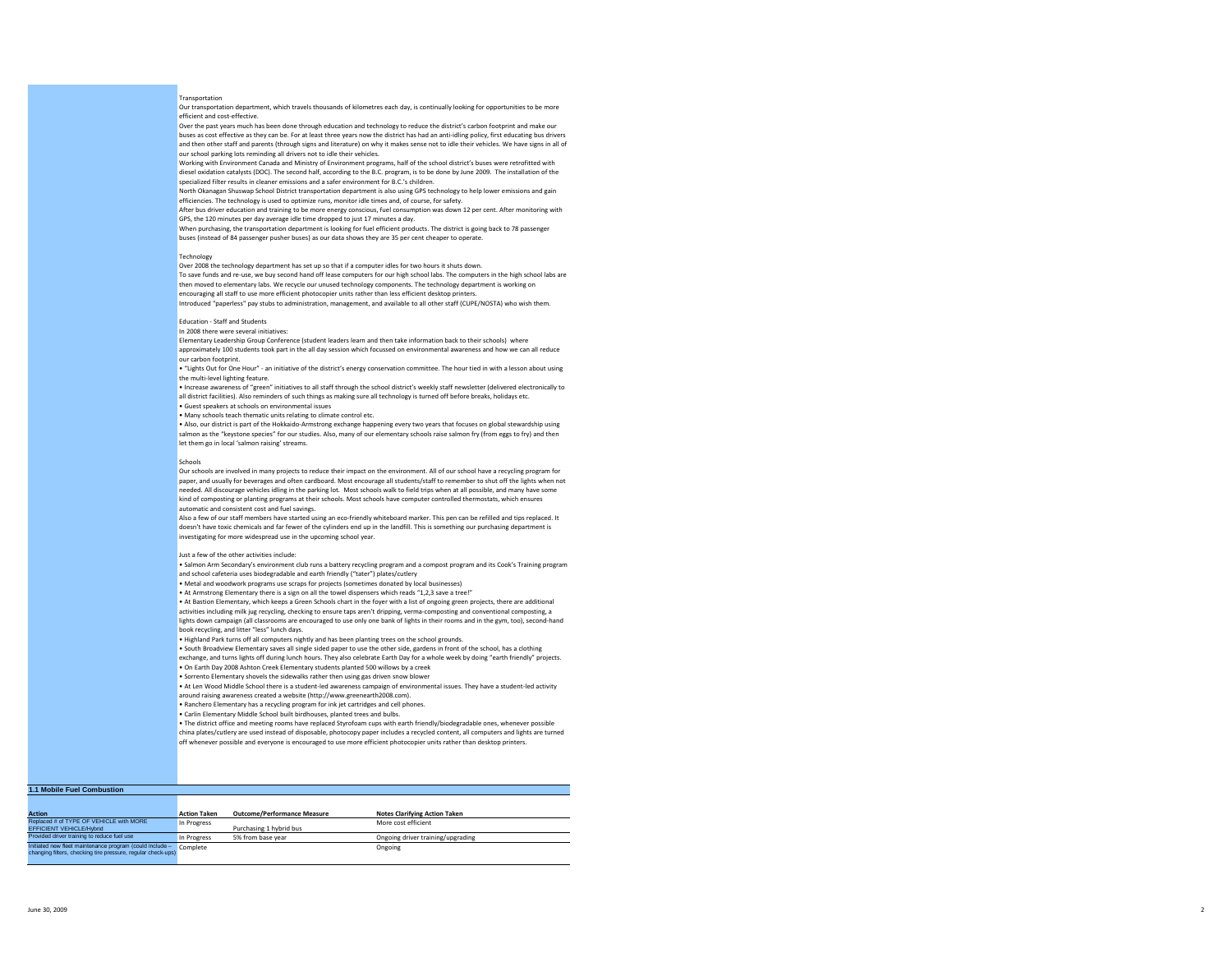### Transportation

Our transportation department, which travels thousands of kilometres each day, is continually looking for opportunities to be more efficient and cost-effective.

Over the past years much has been done through education and technology to reduce the district's carbon footprint and make our buses as cost effective as they can be. For at least three years now the district has had an anti-idling policy, first educating bus drivers and then other staff and parents (through signs and literature) on why it makes sense not to idle their vehicles. We have signs in all of our school parking lots reminding all drivers not to idle their vehicles.

Working with Environment Canada and Ministry of Environment programs, half of the school district's buses were retrofitted with diesel oxidation catalysts (DOC). The second half, according to the B.C. program, is to be done by June 2009. The installation of the specialized filter results in cleaner emissions and a safer environment for B.C.'s children.

North Okanagan Shuswap School District transportation department is also using GPS technology to help lower emissions and gain efficiencies. The technology is used to optimize runs, monitor idle times and, of course, for safety.

After bus driver education and training to be more energy conscious, fuel consumption was down 12 per cent. After monitoring with GPS, the 120 minutes per day average idle time dropped to just 17 minutes a day.

When purchasing, the transportation department is looking for fuel efficient products. The district is going back to 78 passenger buses (instead of 84 passenger pusher buses) as our data shows they are 35 per cent cheaper to operate

### **Technology**

Over 2008 the technology department has set up so that if a computer idles for two hours it shuts down. To save funds and re-use, we buy second hand off lease computers for our high school labs. The computers in the high school labs are then moved to elementary labs. We recycle our unused technology components. The technology department is working on encouraging all staff to use more efficient photocopier units rather than less efficient desktop printers.

Introduced "paperless" pay stubs to administration, management, and available to all other staff (CUPE/NOSTA) who wish them.

# Education - Staff and Students

In 2008 there were several initiatives:

Elementary Leadership Group Conference (student leaders learn and then take information back to their schools) where approximately 100 students took part in the all day session which focussed on environmental awareness and how we can all reduce our carbon footprint.

• "Lights Out for One Hour" - an initiative of the district's energy conservation committee. The hour tied in with a lesson about using the multi-level lighting feature.

• Increase awareness of "green" initiatives to all staff through the school district's weekly staff newsletter (delivered electronically to all district facilities). Also reminders of such things as making sure all technology is turned off before breaks, holidays etc.

• Guest speakers at schools on environmental issues

• Many schools teach thematic units relating to climate control etc.

• Also, our district is part of the Hokkaido-Armstrong exchange happening every two years that focuses on global stewardship using salmon as the "keystone species" for our studies. Also, many of our elementary schools raise salmon fry (from eggs to fry) and then let them go in local 'salmon raising' streams.

#### Schools

Our schools are involved in many projects to reduce their impact on the environment. All of our school have a recycling program for paper, and usually for beverages and often cardboard. Most encourage all students/staff to remember to shut off the lights when not needed. All discourage vehicles idling in the parking lot. Most schools walk to field trips when at all possible, and many have some kind of composting or planting programs at their schools. Most schools have computer controlled thermostats, which ensures automatic and consistent cost and fuel savings.

Also a few of our staff members have started using an eco-friendly whiteboard marker. This pen can be refilled and tips replaced. It doesn't have toxic chemicals and far fewer of the cylinders end up in the landfill. This is something our purchasing department is investigating for more widespread use in the upcoming school year.

# Just a few of the other activities include:

• Salmon Arm Secondary's environment club runs a battery recycling program and a compost program and its Cook's Training program and school cafeteria uses biodegradable and earth friendly ("tater") plates/cutlery

• Metal and woodwork programs use scraps for projects (sometimes donated by local businesses)

• At Armstrong Elementary there is a sign on all the towel dispensers which reads "1,2,3 save a tree!"

• At Bastion Elementary, which keeps a Green Schools chart in the foyer with a list of ongoing green projects, there are additional

activities including milk jug recycling, checking to ensure taps aren't dripping, verma-composting and conventional composting, a lights down campaign (all classrooms are encouraged to use only one bank of lights in their rooms and in the gym, too), second-hand book recycling, and litter "less" lunch days.

• Highland Park turns off all computers nightly and has been planting trees on the school grounds.

• South Broadview Elementary saves all single sided paper to use the other side, gardens in front of the school, has a clothing

exchange, and turns lights off during lunch hours. They also celebrate Earth Day for a whole week by doing "earth friendly" projects. • On Earth Day 2008 Ashton Creek Elementary students planted 500 willows by a creek

• Sorrento Elementary shovels the sidewalks rather then using gas driven snow blower

• At Len Wood Middle School there is a student-led awareness campaign of environmental issues. They have a student-led activity

around raising awareness created a website (http://www.greenearth2008.com).

• Ranchero Elementary has a recycling program for ink jet cartridges and cell phones.

• Carlin Elementary Middle School built birdhouses, planted trees and bulbs.

• The district office and meeting rooms have replaced Styrofoam cups with earth friendly/biodegradable ones, whenever possible china plates/cutlery are used instead of disposable, photocopy paper includes a recycled content, all computers and lights are turned off whenever possible and everyone is encouraged to use more efficient photocopier units rather than desktop printers.

# **1.1 Mobile Fuel Combustion**

| <b>Action</b>                                                                                                            | <b>Action Taken</b> | <b>Outcome/Performance Measure</b> | <b>Notes Clarifving Action Taken</b> |
|--------------------------------------------------------------------------------------------------------------------------|---------------------|------------------------------------|--------------------------------------|
| Replaced # of TYPE OF VEHICLE with MORE<br>EFFICIENT VEHICLE/Hybrid                                                      | In Progress         | Purchasing 1 hybrid bus            | More cost efficient                  |
| Provided driver training to reduce fuel use                                                                              | In Progress         | 5% from base year                  | Ongoing driver training/upgrading    |
| Initiated new fleet maintenance program (could include -<br>changing filters, checking tire pressure, regular check-ups) | Complete            |                                    | Ongoing                              |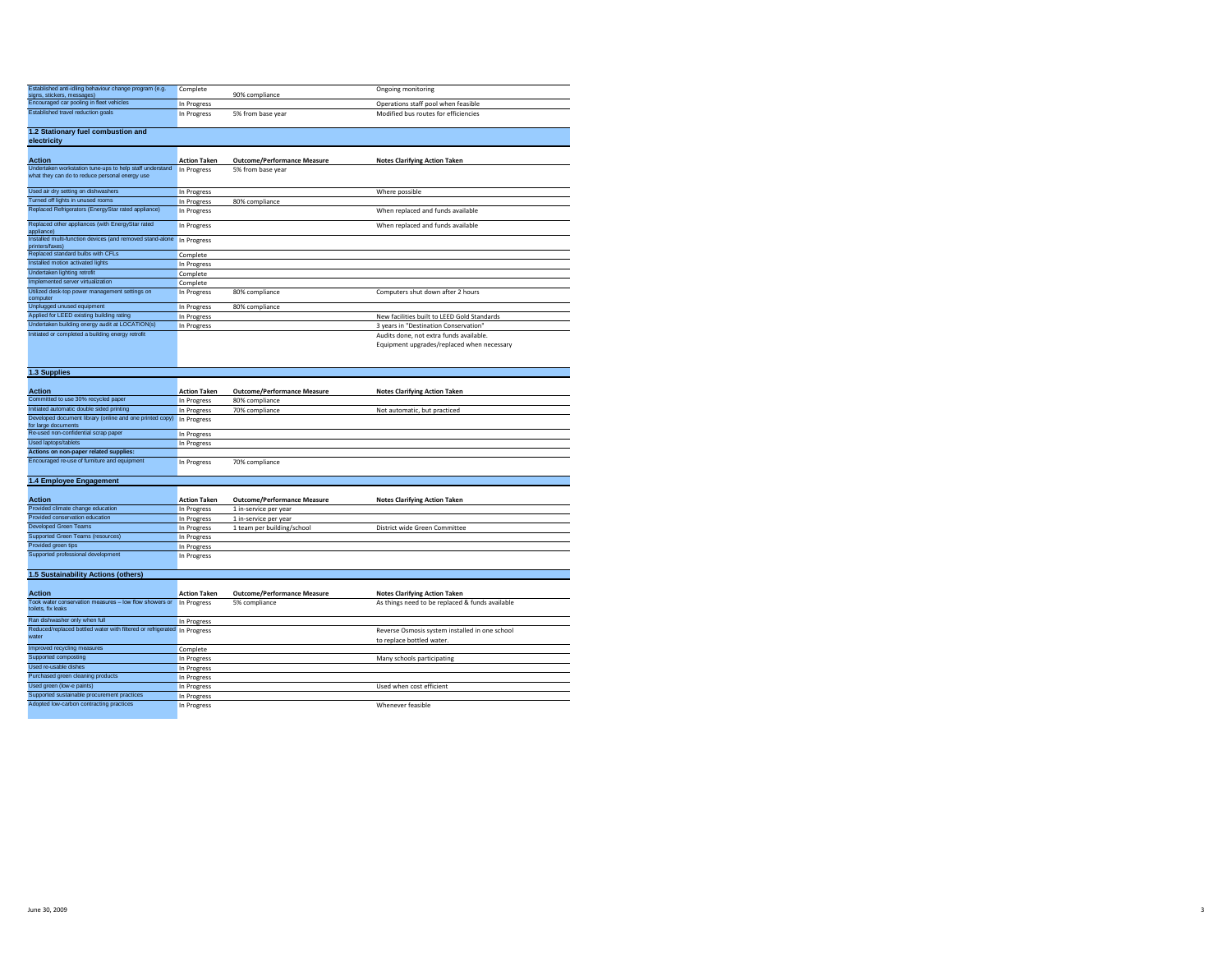| Established anti-idling behaviour change program (e.g.<br>signs, stickers, messages)                       | Complete            | 90% compliance                     | Ongoing monitoring                          |
|------------------------------------------------------------------------------------------------------------|---------------------|------------------------------------|---------------------------------------------|
| Encouraged car pooling in fleet vehicles                                                                   | In Progress         |                                    | Operations staff pool when feasible         |
| Established travel reduction goals                                                                         | In Progress         | 5% from base year                  | Modified bus routes for efficiencies        |
| 1.2 Stationary fuel combustion and<br>electricity                                                          |                     |                                    |                                             |
| <b>Action</b>                                                                                              | <b>Action Taken</b> | <b>Outcome/Performance Measure</b> | <b>Notes Clarifying Action Taken</b>        |
| Undertaken workstation tune-ups to help staff understand<br>what they can do to reduce personal energy use | In Progress         | 5% from base year                  |                                             |
| Used air dry setting on dishwashers                                                                        | In Progress         |                                    | Where possible                              |
| Turned off lights in unused rooms                                                                          | In Progress         | 80% compliance                     |                                             |
| Replaced Refrigerators (EnergyStar rated appliance)                                                        | In Progress         |                                    | When replaced and funds available           |
| Replaced other appliances (with EnergyStar rated<br>appliance)                                             | In Progress         |                                    | When replaced and funds available           |
| Installed multi-function devices (and removed stand-alone<br>printers/faxes)                               | In Progress         |                                    |                                             |
| Replaced standard bulbs with CFLs                                                                          | Complete            |                                    |                                             |
| Installed motion activated lights                                                                          | In Progress         |                                    |                                             |
| Undertaken lighting retrofit                                                                               | Complete            |                                    |                                             |
| Implemented server virtualization                                                                          | Complete            |                                    |                                             |
| Utilized desk-top power management settings on<br>computer                                                 | In Progress         | 80% compliance                     | Computers shut down after 2 hours           |
| Unplugged unused equipment                                                                                 | In Progress         | 80% compliance                     |                                             |
| Applied for LEED existing building rating                                                                  | In Progress         |                                    | New facilities built to LEED Gold Standards |
| Undertaken building energy audit at LOCATION(s)                                                            | In Progress         |                                    | 3 years in "Destination Conservation"       |
| Initiated or completed a building energy retrofit                                                          |                     |                                    | Audits done, not extra funds available.     |
|                                                                                                            |                     |                                    | Equipment upgrades/replaced when necessary  |
|                                                                                                            |                     |                                    |                                             |

| <b>Action Taken</b>                                      | <b>Outcome/Performance Measure</b> | <b>Notes Clarifving Action Taken</b> |
|----------------------------------------------------------|------------------------------------|--------------------------------------|
| In Progress                                              | 80% compliance                     |                                      |
| In Progress                                              | 70% compliance                     | Not automatic, but practiced         |
| In Progress                                              |                                    |                                      |
|                                                          |                                    |                                      |
| In Progress                                              |                                    |                                      |
| In Progress                                              |                                    |                                      |
|                                                          |                                    |                                      |
| In Progress                                              | 70% compliance                     |                                      |
| Developed document library (online and one printed copy) |                                    |                                      |

| 1.4 Employee Engagement            |                     |                                    |                                      |
|------------------------------------|---------------------|------------------------------------|--------------------------------------|
| <b>Action</b>                      | <b>Action Taken</b> | <b>Outcome/Performance Measure</b> | <b>Notes Clarifying Action Taken</b> |
| Provided climate change education  | In Progress         | 1 in-service per year              |                                      |
| Provided conservation education    | In Progress         | 1 in-service per year              |                                      |
| <b>Developed Green Teams</b>       | In Progress         | 1 team per building/school         | District wide Green Committee        |
| Supported Green Teams (resources)  | In Progress         |                                    |                                      |
| Provided areen tips                | In Progress         |                                    |                                      |
| Supported professional development | In Progress         |                                    |                                      |

| 1.5 Sustainability Actions (others)                                          |                     |                                    |                                                 |
|------------------------------------------------------------------------------|---------------------|------------------------------------|-------------------------------------------------|
|                                                                              |                     |                                    |                                                 |
| <b>Action</b>                                                                | <b>Action Taken</b> | <b>Outcome/Performance Measure</b> | <b>Notes Clarifving Action Taken</b>            |
| Took water conservation measures - low flow showers or<br>toilets, fix leaks | In Progress         | 5% compliance                      | As things need to be replaced & funds available |
| Ran dishwasher only when full                                                | In Progress         |                                    |                                                 |
| Reduced/replaced bottled water with filtered or refrigerated In Progress     |                     |                                    | Reverse Osmosis system installed in one school  |
| water                                                                        |                     |                                    | to replace bottled water.                       |
| Improved recycling measures                                                  | Complete            |                                    |                                                 |
| Supported composting                                                         | In Progress         |                                    | Many schools participating                      |
| Used re-usable dishes                                                        | In Progress         |                                    |                                                 |
| Purchased green cleaning products                                            | In Progress         |                                    |                                                 |
| Used green (low-e paints)                                                    | In Progress         |                                    | Used when cost efficient                        |
| Supported sustainable procurement practices                                  | In Progress         |                                    |                                                 |
| Adopted low-carbon contracting practices                                     | In Progress         |                                    | Whenever feasible                               |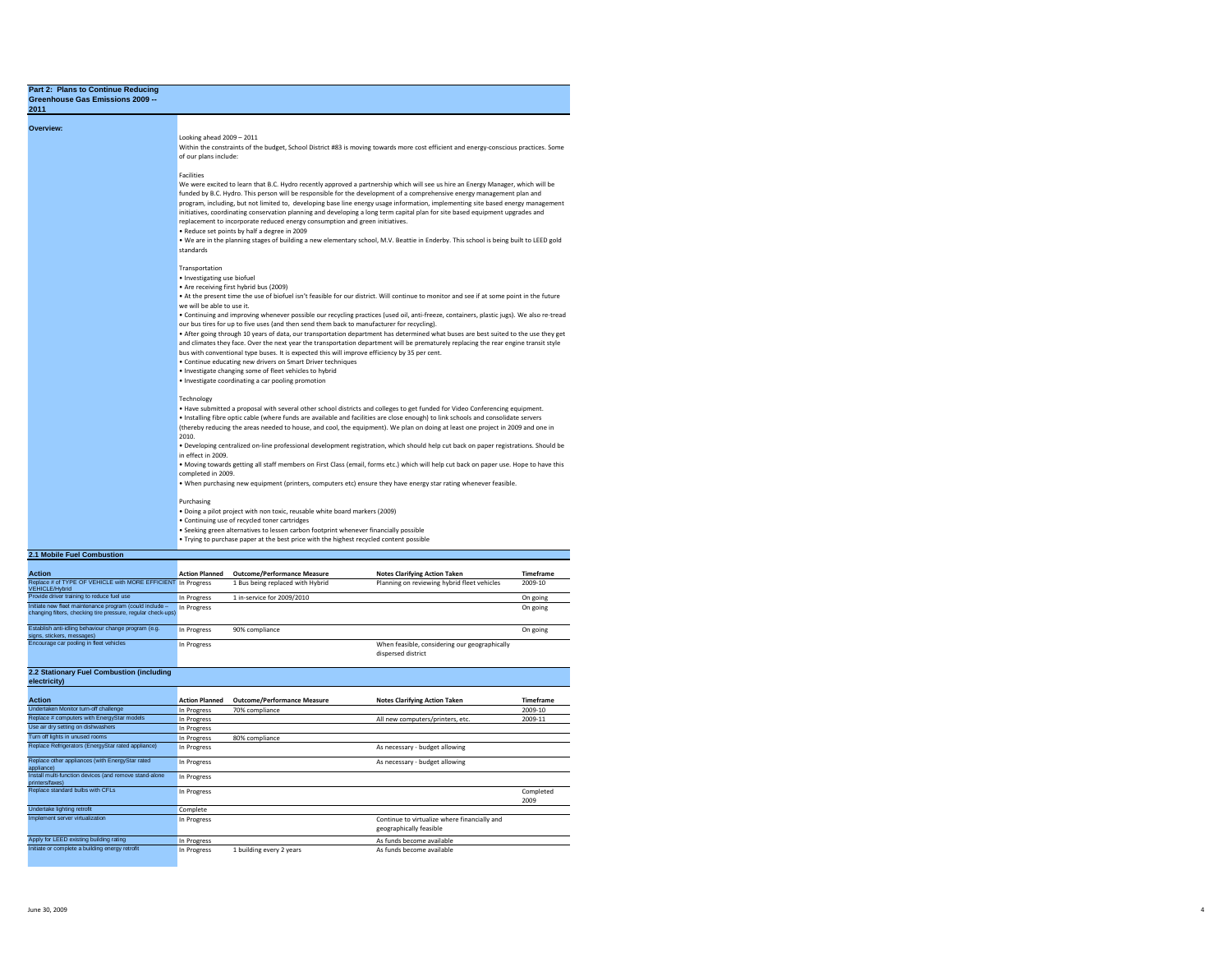| Greenhouse Gas Emissions 2009 --<br>2011                                              |                                               |                                                                                                                                                                                                                                                                                                                                                                             |                                                                                                                                                                                                                                                                                                                                                                                                                                                                                                                                                                                                                                                                           |           |
|---------------------------------------------------------------------------------------|-----------------------------------------------|-----------------------------------------------------------------------------------------------------------------------------------------------------------------------------------------------------------------------------------------------------------------------------------------------------------------------------------------------------------------------------|---------------------------------------------------------------------------------------------------------------------------------------------------------------------------------------------------------------------------------------------------------------------------------------------------------------------------------------------------------------------------------------------------------------------------------------------------------------------------------------------------------------------------------------------------------------------------------------------------------------------------------------------------------------------------|-----------|
| Overview:                                                                             | Looking ahead $2009 - 2011$                   |                                                                                                                                                                                                                                                                                                                                                                             | Within the constraints of the budget, School District #83 is moving towards more cost efficient and energy-conscious practices. Some                                                                                                                                                                                                                                                                                                                                                                                                                                                                                                                                      |           |
|                                                                                       | of our plans include:<br>Facilities           |                                                                                                                                                                                                                                                                                                                                                                             |                                                                                                                                                                                                                                                                                                                                                                                                                                                                                                                                                                                                                                                                           |           |
|                                                                                       | standards                                     | replacement to incorporate reduced energy consumption and green initiatives.<br>. Reduce set points by half a degree in 2009                                                                                                                                                                                                                                                | We were excited to learn that B.C. Hydro recently approved a partnership which will see us hire an Energy Manager, which will be<br>funded by B.C. Hydro. This person will be responsible for the development of a comprehensive energy management plan and<br>program, including, but not limited to, developing base line energy usage information, implementing site based energy management<br>initiatives, coordinating conservation planning and developing a long term capital plan for site based equipment upgrades and<br>. We are in the planning stages of building a new elementary school, M.V. Beattie in Enderby. This school is being built to LEED gold |           |
|                                                                                       | Transportation<br>· Investigating use biofuel | . Are receiving first hybrid bus (2009)                                                                                                                                                                                                                                                                                                                                     | . At the present time the use of biofuel isn't feasible for our district. Will continue to monitor and see if at some point in the future                                                                                                                                                                                                                                                                                                                                                                                                                                                                                                                                 |           |
|                                                                                       | we will be able to use it.                    | our bus tires for up to five uses (and then send them back to manufacturer for recycling).<br>bus with conventional type buses. It is expected this will improve efficiency by 35 per cent.<br>. Continue educating new drivers on Smart Driver techniques<br>. Investigate changing some of fleet vehicles to hybrid<br>· Investigate coordinating a car pooling promotion | . Continuing and improving whenever possible our recycling practices (used oil, anti-freeze, containers, plastic jugs). We also re-tread<br>. After going through 10 years of data, our transportation department has determined what buses are best suited to the use they get<br>and climates they face. Over the next year the transportation department will be prematurely replacing the rear engine transit style                                                                                                                                                                                                                                                   |           |
|                                                                                       | Technology<br>2010.                           |                                                                                                                                                                                                                                                                                                                                                                             | . Have submitted a proposal with several other school districts and colleges to get funded for Video Conferencing equipment.<br>. Installing fibre optic cable (where funds are available and facilities are close enough) to link schools and consolidate servers<br>(thereby reducing the areas needed to house, and cool, the equipment). We plan on doing at least one project in 2009 and one in                                                                                                                                                                                                                                                                     |           |
|                                                                                       | in effect in 2009.<br>completed in 2009.      |                                                                                                                                                                                                                                                                                                                                                                             | . Developing centralized on-line professional development registration, which should help cut back on paper registrations. Should be<br>. Moving towards getting all staff members on First Class (email, forms etc.) which will help cut back on paper use. Hope to have this<br>. When purchasing new equipment (printers, computers etc) ensure they have energy star rating whenever feasible.                                                                                                                                                                                                                                                                        |           |
|                                                                                       | Purchasing                                    | . Doing a pilot project with non toxic, reusable white board markers (2009)<br>· Continuing use of recycled toner cartridges<br>· Seeking green alternatives to lessen carbon footprint whenever financially possible<br>. Trying to purchase paper at the best price with the highest recycled content possible                                                            |                                                                                                                                                                                                                                                                                                                                                                                                                                                                                                                                                                                                                                                                           |           |
| 2.1 Mobile Fuel Combustion                                                            |                                               |                                                                                                                                                                                                                                                                                                                                                                             |                                                                                                                                                                                                                                                                                                                                                                                                                                                                                                                                                                                                                                                                           |           |
| <b>Action</b>                                                                         | <b>Action Planned</b>                         | <b>Outcome/Performance Measure</b>                                                                                                                                                                                                                                                                                                                                          | <b>Notes Clarifying Action Taken</b>                                                                                                                                                                                                                                                                                                                                                                                                                                                                                                                                                                                                                                      | Timeframe |
| Replace # of TYPE OF VEHICLE with MORE EFFICIENT In Progress<br><b>VEHICLE/Hybrid</b> |                                               | 1 Bus being replaced with Hybrid                                                                                                                                                                                                                                                                                                                                            | Planning on reviewing hybrid fleet vehicles                                                                                                                                                                                                                                                                                                                                                                                                                                                                                                                                                                                                                               | 2009-10   |
| Provide driver training to reduce fuel use                                            | In Progress                                   | 1 in-service for 2009/2010                                                                                                                                                                                                                                                                                                                                                  |                                                                                                                                                                                                                                                                                                                                                                                                                                                                                                                                                                                                                                                                           | On going  |

| Provide driver training to reduce fuel use                                                                              | In Progress | 1 in-service for 2009/2010 |                                               | On going |
|-------------------------------------------------------------------------------------------------------------------------|-------------|----------------------------|-----------------------------------------------|----------|
| Initiate new fleet maintenance program (could include -<br>changing filters, checking tire pressure, regular check-ups) | In Progress |                            |                                               | On going |
|                                                                                                                         |             |                            |                                               |          |
| Establish anti-idling behaviour change program (e.g.<br>signs, stickers, messages)                                      | In Progress | 90% compliance             |                                               | On going |
| Encourage car pooling in fleet vehicles                                                                                 | In Progress |                            | When feasible, considering our geographically |          |
|                                                                                                                         |             |                            | dispersed district                            |          |

**2.2 Stationary Fuel Combustion (including** 

| electricity)                                                              |                       |                                    |                                                                         |                   |
|---------------------------------------------------------------------------|-----------------------|------------------------------------|-------------------------------------------------------------------------|-------------------|
| <b>Action</b>                                                             | <b>Action Planned</b> | <b>Outcome/Performance Measure</b> | <b>Notes Clarifving Action Taken</b>                                    | <b>Timeframe</b>  |
| Undertaken Monitor turn-off challenge                                     | In Progress           | 70% compliance                     |                                                                         | 2009-10           |
| Replace # computers with EnergyStar models                                | In Progress           |                                    | All new computers/printers, etc.                                        | 2009-11           |
| Use air dry setting on dishwashers                                        | In Progress           |                                    |                                                                         |                   |
| Turn off lights in unused rooms                                           | In Progress           | 80% compliance                     |                                                                         |                   |
| Replace Refrigerators (EnergyStar rated appliance)                        | In Progress           |                                    | As necessary - budget allowing                                          |                   |
| Replace other appliances (with EnergyStar rated<br>appliance)             | In Progress           |                                    | As necessary - budget allowing                                          |                   |
| Install multi-function devices (and remove stand-alone<br>printers/faxes) | In Progress           |                                    |                                                                         |                   |
| Replace standard bulbs with CFLs                                          | In Progress           |                                    |                                                                         | Completed<br>2009 |
| Undertake lighting retrofit                                               | Complete              |                                    |                                                                         |                   |
| Implement server virtualization                                           | In Progress           |                                    | Continue to virtualize where financially and<br>geographically feasible |                   |
| Apply for LEED existing building rating                                   | In Progress           |                                    | As funds become available                                               |                   |
| Initiate or complete a building energy retrofit                           | In Progress           | 1 building every 2 years           | As funds become available                                               |                   |

4